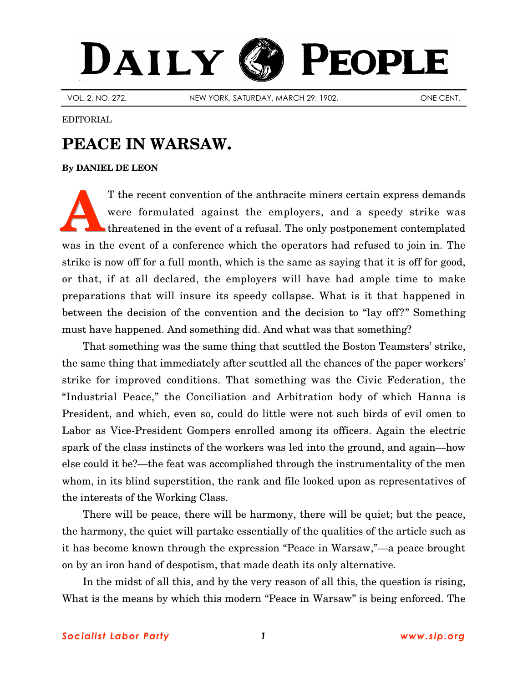## DAILY PEOPLE

VOL. 2, NO. 272. NEW YORK, SATURDAY, MARCH 29, 1902. ONE CENT.

EDITORIAL

## **PEACE IN WARSAW.**

## **By [DANIEL DE LEON](http://slp.org/De_Leon.htm)**

T the recent convention of the anthracite miners certain express demands were formulated against the employers, and a speedy strike was threatened in the event of a refusal. The only postponement contemplated was in the event of a conference which the operators had refused to join in. The strike is now off for a full month, which is the same as saying that it is off for good, or that, if at all declared, the employers will have had ample time to make preparations that will insure its speedy collapse. What is it that happened in between the decision of the convention and the decision to "lay off?" Something must have happened. And something did. And what was that something? **A**

That something was the same thing that scuttled the Boston Teamsters' strike, the same thing that immediately after scuttled all the chances of the paper workers' strike for improved conditions. That something was the Civic Federation, the "Industrial Peace," the Conciliation and Arbitration body of which Hanna is President, and which, even so, could do little were not such birds of evil omen to Labor as Vice-President Gompers enrolled among its officers. Again the electric spark of the class instincts of the workers was led into the ground, and again—how else could it be?—the feat was accomplished through the instrumentality of the men whom, in its blind superstition, the rank and file looked upon as representatives of the interests of the Working Class.

There will be peace, there will be harmony, there will be quiet; but the peace, the harmony, the quiet will partake essentially of the qualities of the article such as it has become known through the expression "Peace in Warsaw,"—a peace brought on by an iron hand of despotism, that made death its only alternative.

In the midst of all this, and by the very reason of all this, the question is rising, What is the means by which this modern "Peace in Warsaw" is being enforced. The